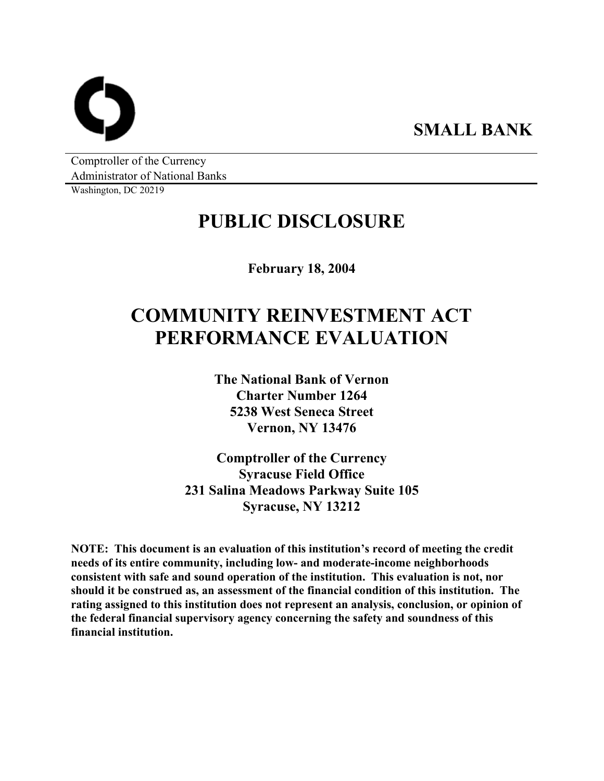**SMALL BANK** 

Comptroller of the Currency Administrator of National Banks

Washington, DC 20219

# **PUBLIC DISCLOSURE**

**February 18, 2004** 

# **COMMUNITY REINVESTMENT ACT PERFORMANCE EVALUATION**

**The National Bank of Vernon Charter Number 1264 5238 West Seneca Street Vernon, NY 13476** 

**Comptroller of the Currency Syracuse Field Office 231 Salina Meadows Parkway Suite 105 Syracuse, NY 13212** 

**NOTE: This document is an evaluation of this institution's record of meeting the credit needs of its entire community, including low- and moderate-income neighborhoods consistent with safe and sound operation of the institution. This evaluation is not, nor should it be construed as, an assessment of the financial condition of this institution. The rating assigned to this institution does not represent an analysis, conclusion, or opinion of the federal financial supervisory agency concerning the safety and soundness of this financial institution.**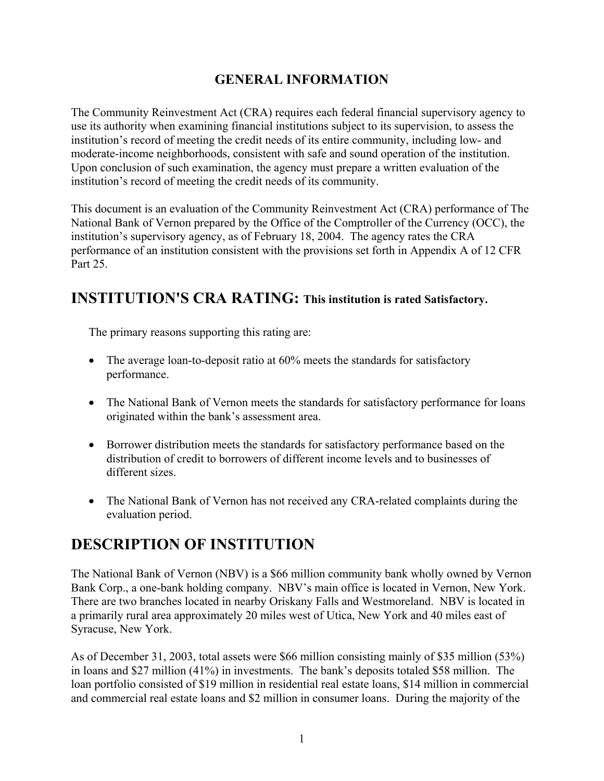## **GENERAL INFORMATION**

The Community Reinvestment Act (CRA) requires each federal financial supervisory agency to use its authority when examining financial institutions subject to its supervision, to assess the institution's record of meeting the credit needs of its entire community, including low- and moderate-income neighborhoods, consistent with safe and sound operation of the institution. Upon conclusion of such examination, the agency must prepare a written evaluation of the institution's record of meeting the credit needs of its community.

This document is an evaluation of the Community Reinvestment Act (CRA) performance of The National Bank of Vernon prepared by the Office of the Comptroller of the Currency (OCC), the institution's supervisory agency, as of February 18, 2004. The agency rates the CRA performance of an institution consistent with the provisions set forth in Appendix A of 12 CFR Part 25

## **INSTITUTION'S CRA RATING: This institution is rated Satisfactory.**

The primary reasons supporting this rating are:

- The average loan-to-deposit ratio at 60% meets the standards for satisfactory performance.
- The National Bank of Vernon meets the standards for satisfactory performance for loans originated within the bank's assessment area.
- Borrower distribution meets the standards for satisfactory performance based on the distribution of credit to borrowers of different income levels and to businesses of different sizes.
- The National Bank of Vernon has not received any CRA-related complaints during the evaluation period.

## **DESCRIPTION OF INSTITUTION**

The National Bank of Vernon (NBV) is a \$66 million community bank wholly owned by Vernon Bank Corp., a one-bank holding company. NBV's main office is located in Vernon, New York. There are two branches located in nearby Oriskany Falls and Westmoreland. NBV is located in a primarily rural area approximately 20 miles west of Utica, New York and 40 miles east of Syracuse, New York.

As of December 31, 2003, total assets were \$66 million consisting mainly of \$35 million (53%) in loans and \$27 million (41%) in investments. The bank's deposits totaled \$58 million. The loan portfolio consisted of \$19 million in residential real estate loans, \$14 million in commercial and commercial real estate loans and \$2 million in consumer loans. During the majority of the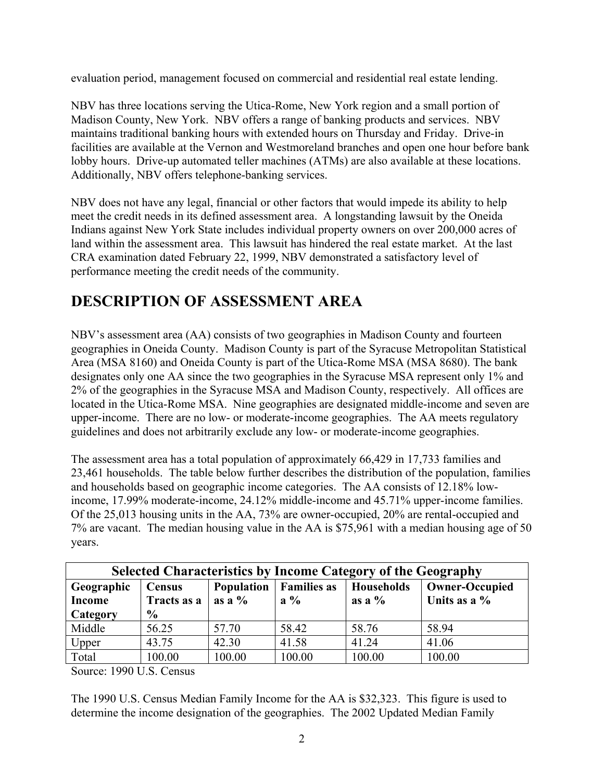evaluation period, management focused on commercial and residential real estate lending.

NBV has three locations serving the Utica-Rome, New York region and a small portion of Madison County, New York. NBV offers a range of banking products and services. NBV maintains traditional banking hours with extended hours on Thursday and Friday. Drive-in facilities are available at the Vernon and Westmoreland branches and open one hour before bank lobby hours. Drive-up automated teller machines (ATMs) are also available at these locations. Additionally, NBV offers telephone-banking services.

NBV does not have any legal, financial or other factors that would impede its ability to help meet the credit needs in its defined assessment area. A longstanding lawsuit by the Oneida Indians against New York State includes individual property owners on over 200,000 acres of land within the assessment area. This lawsuit has hindered the real estate market. At the last CRA examination dated February 22, 1999, NBV demonstrated a satisfactory level of performance meeting the credit needs of the community.

## **DESCRIPTION OF ASSESSMENT AREA**

NBV's assessment area (AA) consists of two geographies in Madison County and fourteen geographies in Oneida County. Madison County is part of the Syracuse Metropolitan Statistical Area (MSA 8160) and Oneida County is part of the Utica-Rome MSA (MSA 8680). The bank designates only one AA since the two geographies in the Syracuse MSA represent only 1% and 2% of the geographies in the Syracuse MSA and Madison County, respectively. All offices are located in the Utica-Rome MSA. Nine geographies are designated middle-income and seven are upper-income. There are no low- or moderate-income geographies. The AA meets regulatory guidelines and does not arbitrarily exclude any low- or moderate-income geographies.

The assessment area has a total population of approximately 66,429 in 17,733 families and 23,461 households. The table below further describes the distribution of the population, families and households based on geographic income categories. The AA consists of 12.18% lowincome, 17.99% moderate-income, 24.12% middle-income and 45.71% upper-income families. Of the 25,013 housing units in the AA, 73% are owner-occupied, 20% are rental-occupied and 7% are vacant. The median housing value in the AA is \$75,961 with a median housing age of 50 years.

| <b>Selected Characteristics by Income Category of the Geography</b> |                              |                         |        |                                |                                          |  |  |
|---------------------------------------------------------------------|------------------------------|-------------------------|--------|--------------------------------|------------------------------------------|--|--|
| Geographic<br><b>Income</b>                                         | <b>Census</b><br>Tracts as a | Population<br>as a $\%$ |        | <b>Households</b><br>as a $\%$ | <b>Owner-Occupied</b><br>Units as a $\%$ |  |  |
| Category                                                            | $\frac{6}{9}$                |                         |        |                                |                                          |  |  |
| Middle                                                              | 56.25                        | 57.70                   | 58.42  | 58.76                          | 58.94                                    |  |  |
| Upper                                                               | 43.75                        | 42.30                   | 41.58  | 41.24                          | 41.06                                    |  |  |
| Total                                                               | 100.00                       | 100.00                  | 100.00 | 100.00                         | 100.00                                   |  |  |

Source: 1990 U.S. Census

The 1990 U.S. Census Median Family Income for the AA is \$32,323. This figure is used to determine the income designation of the geographies. The 2002 Updated Median Family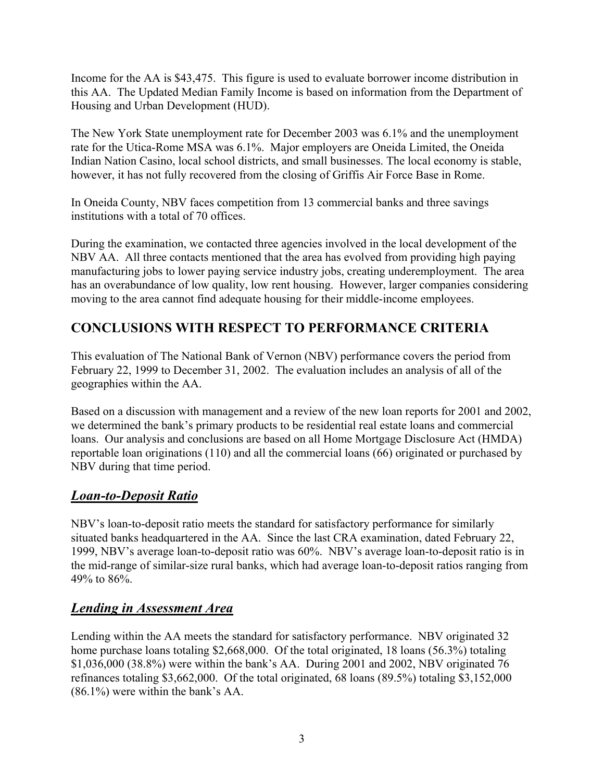Income for the AA is \$43,475. This figure is used to evaluate borrower income distribution in this AA. The Updated Median Family Income is based on information from the Department of Housing and Urban Development (HUD).

The New York State unemployment rate for December 2003 was 6.1% and the unemployment rate for the Utica-Rome MSA was 6.1%. Major employers are Oneida Limited, the Oneida Indian Nation Casino, local school districts, and small businesses. The local economy is stable, however, it has not fully recovered from the closing of Griffis Air Force Base in Rome.

In Oneida County, NBV faces competition from 13 commercial banks and three savings institutions with a total of 70 offices.

During the examination, we contacted three agencies involved in the local development of the NBV AA. All three contacts mentioned that the area has evolved from providing high paying manufacturing jobs to lower paying service industry jobs, creating underemployment. The area has an overabundance of low quality, low rent housing. However, larger companies considering moving to the area cannot find adequate housing for their middle-income employees.

## **CONCLUSIONS WITH RESPECT TO PERFORMANCE CRITERIA**

This evaluation of The National Bank of Vernon (NBV) performance covers the period from February 22, 1999 to December 31, 2002. The evaluation includes an analysis of all of the geographies within the AA.

Based on a discussion with management and a review of the new loan reports for 2001 and 2002, we determined the bank's primary products to be residential real estate loans and commercial loans. Our analysis and conclusions are based on all Home Mortgage Disclosure Act (HMDA) reportable loan originations (110) and all the commercial loans (66) originated or purchased by NBV during that time period.

## *Loan-to-Deposit Ratio*

NBV's loan-to-deposit ratio meets the standard for satisfactory performance for similarly situated banks headquartered in the AA. Since the last CRA examination, dated February 22, 1999, NBV's average loan-to-deposit ratio was 60%. NBV's average loan-to-deposit ratio is in the mid-range of similar-size rural banks, which had average loan-to-deposit ratios ranging from 49% to 86%.

#### *Lending in Assessment Area*

Lending within the AA meets the standard for satisfactory performance. NBV originated 32 home purchase loans totaling \$2,668,000. Of the total originated, 18 loans (56.3%) totaling \$1,036,000 (38.8%) were within the bank's AA. During 2001 and 2002, NBV originated 76 refinances totaling \$3,662,000. Of the total originated, 68 loans (89.5%) totaling \$3,152,000 (86.1%) were within the bank's AA.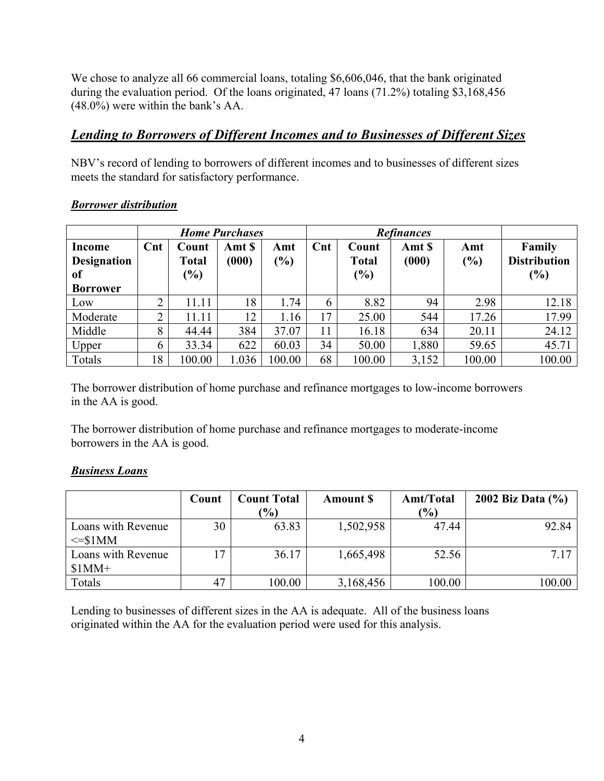We chose to analyze all 66 commercial loans, totaling \$6,606,046, that the bank originated during the evaluation period. Of the loans originated, 47 loans (71.2%) totaling \$3,168,456 (48.0%) were within the bank's AA.

#### *Lending to Borrowers of Different Incomes and to Businesses of Different Sizes*

NBV's record of lending to borrowers of different incomes and to businesses of different sizes meets the standard for satisfactory performance.

|                                               | <b>Home Purchases</b> |                                        |                 |                                     | <b>Refinances</b> |                                 |                 |            |                                      |
|-----------------------------------------------|-----------------------|----------------------------------------|-----------------|-------------------------------------|-------------------|---------------------------------|-----------------|------------|--------------------------------------|
| Income<br><b>Designation</b><br><sub>of</sub> | $\mathbf{C}$ nt       | Count<br><b>Total</b><br>$\frac{6}{6}$ | Amt \$<br>(000) | Amt<br>$\left( \frac{0}{0} \right)$ | $\mathbf{C}$ nt   | Count<br><b>Total</b><br>$(\%)$ | Amt \$<br>(000) | Amt<br>(%) | Family<br><b>Distribution</b><br>(%) |
| <b>Borrower</b>                               |                       |                                        |                 |                                     |                   |                                 |                 |            |                                      |
| Low                                           | ◠                     | 11.11                                  | 18              | 1.74                                | 6                 | 8.82                            | 94              | 2.98       | 12.18                                |
| Moderate                                      | ◠                     | 11.11                                  | 12              | 1.16                                | 17                | 25.00                           | 544             | 17.26      | 17.99                                |
| Middle                                        | 8                     | 44.44                                  | 384             | 37.07                               | 11                | 16.18                           | 634             | 20.11      | 24.12                                |
| Upper                                         | 6                     | 33.34                                  | 622             | 60.03                               | 34                | 50.00                           | 1,880           | 59.65      | 45.71                                |
| Totals                                        | 18                    | 100.00                                 | 1.036           | 100.00                              | 68                | 100.00                          | 3,152           | 100.00     | 100.00                               |

#### *Borrower distribution*

The borrower distribution of home purchase and refinance mortgages to low-income borrowers in the AA is good.

The borrower distribution of home purchase and refinance mortgages to moderate-income borrowers in the AA is good.

#### *Business Loans*

|                                   | Count | Count Total<br>$\frac{1}{2}$ | <b>Amount S</b> | Amt/Total<br>$\frac{(0)}{0}$ | 2002 Biz Data (%) |
|-----------------------------------|-------|------------------------------|-----------------|------------------------------|-------------------|
| Loans with Revenue<br>$\leq$ S1MM | 30    | 63.83                        | 1,502,958       | 47.44                        | 92.84             |
| Loans with Revenue<br>$$1MM+$     | 17    | 36.17                        | 1,665,498       | 52.56                        | 7 1 7             |
| Totals                            | 47    | 100.00                       | 3,168,456       | 100.00                       | 100.00            |

Lending to businesses of different sizes in the AA is adequate. All of the business loans originated within the AA for the evaluation period were used for this analysis.